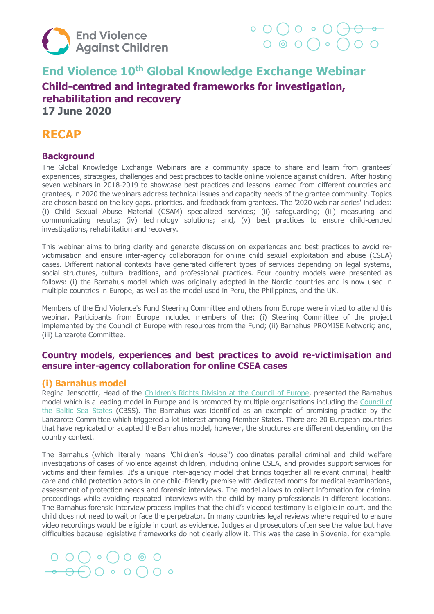

## **End Violence 10th Global Knowledge Exchange Webinar Child-centred and integrated frameworks for investigation, rehabilitation and recovery 17 June 2020**

## **RECAP**

## **Background**

The Global Knowledge Exchange Webinars are a community space to share and learn from grantees' experiences, strategies, challenges and best practices to tackle online violence against children. After hosting seven webinars in 2018-2019 to showcase best practices and lessons learned from different countries and grantees, in 2020 the webinars address technical issues and capacity needs of the grantee community. Topics are chosen based on the key gaps, priorities, and feedback from grantees. The '2020 webinar series' includes: (i) Child Sexual Abuse Material (CSAM) specialized services; (ii) safeguarding; (iii) measuring and communicating results; (iv) technology solutions; and, (v) best practices to ensure child-centred investigations, rehabilitation and recovery.

This webinar aims to bring clarity and generate discussion on experiences and best practices to avoid revictimisation and ensure inter-agency collaboration for online child sexual exploitation and abuse (CSEA) cases. Different national contexts have generated different types of services depending on legal systems, social structures, cultural traditions, and professional practices. Four country models were presented as follows: (i) the Barnahus model which was originally adopted in the Nordic countries and is now used in multiple countries in Europe, as well as the model used in Peru, the Philippines, and the UK.

Members of the End Violence's Fund Steering Committee and others from Europe were invited to attend this webinar. Participants from Europe included members of the: (i) Steering Committee of the project implemented by the Council of Europe with resources from the Fund; (ii) Barnahus PROMISE Network; and, (iii) Lanzarote Committee.

## **Country models, experiences and best practices to avoid re-victimisation and ensure inter-agency collaboration for online CSEA cases**

## **(i) Barnahus model**

Regina Jensdottir, Head of the [Children's Rights Division](https://www.coe.int/en/web/children) at the Council of Europe, presented the Barnahus model which is a leading model in Europe and is promoted by multiple organisations including the Council of [the Baltic Sea States](http://www.cbss.org/) (CBSS). The Barnahus was identified as an example of promising practice by the Lanzarote Committee which triggered a lot interest among Member States. There are 20 European countries that have replicated or adapted the Barnahus model, however, the structures are different depending on the country context.

The Barnahus (which literally means "Children's House") coordinates parallel criminal and child welfare investigations of cases of violence against children, including online CSEA, and provides support services for victims and their families. It's a unique inter-agency model that brings together all relevant criminal, health care and child protection actors in one child-friendly premise with dedicated rooms for medical examinations, assessment of protection needs and forensic interviews. The model allows to collect information for criminal proceedings while avoiding repeated interviews with the child by many professionals in different locations. The Barnahus forensic interview process implies that the child's videoed testimony is eligible in court, and the child does not need to wait or face the perpetrator. In many countries legal reviews where required to ensure video recordings would be eligible in court as evidence. Judges and prosecutors often see the value but have difficulties because legislative frameworks do not clearly allow it. This was the case in Slovenia, for example.

# $O O O O \circ O O$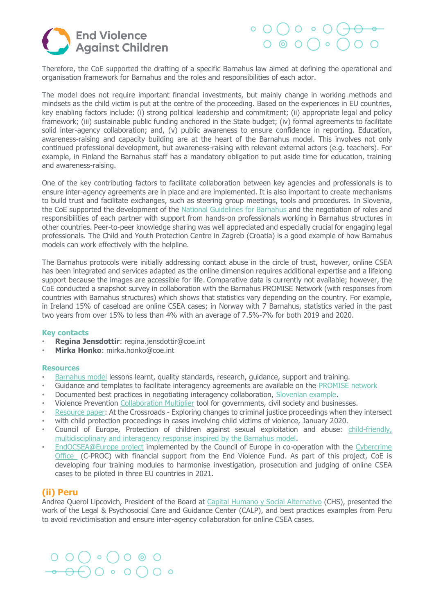



Therefore, the CoE supported the drafting of a specific Barnahus law aimed at defining the operational and organisation framework for Barnahus and the roles and responsibilities of each actor.

The model does not require important financial investments, but mainly change in working methods and mindsets as the child victim is put at the centre of the proceeding. Based on the experiences in EU countries, key enabling factors include: (i) strong political leadership and commitment; (ii) appropriate legal and policy framework; (iii) sustainable public funding anchored in the State budget; (iv) formal agreements to facilitate solid inter-agency collaboration; and, (v) public awareness to ensure confidence in reporting. Education, awareness-raising and capacity building are at the heart of the Barnahus model. This involves not only continued professional development, but awareness-raising with relevant external actors (e.g. teachers). For example, in Finland the Barnahus staff has a mandatory obligation to put aside time for education, training and awareness-raising.

One of the key contributing factors to facilitate collaboration between key agencies and professionals is to ensure inter-agency agreements are in place and are implemented. It is also important to create mechanisms to build trust and facilitate exchanges, such as steering group meetings, tools and procedures. In Slovenia, the CoE supported the development of the [National Guidelines for Barnahus](http://www.coe.int/en/web/children/barnahus-project-in-slovenia) and the negotiation of roles and responsibilities of each partner with support from hands-on professionals working in Barnahus structures in other countries. Peer-to-peer knowledge sharing was well appreciated and especially crucial for engaging legal professionals. The Child and Youth Protection Centre in Zagreb (Croatia) is a good example of how Barnahus models can work effectively with the helpline.

The Barnahus protocols were initially addressing contact abuse in the circle of trust, however, online CSEA has been integrated and services adapted as the online dimension requires additional expertise and a lifelong support because the images are accessible for life. Comparative data is currently not available; however, the CoE conducted a snapshot survey in collaboration with the Barnahus PROMISE Network (with responses from countries with Barnahus structures) which shows that statistics vary depending on the country. For example, in Ireland 15% of caseload are online CSEA cases; in Norway with 7 Barnahus, statistics varied in the past two years from over 15% to less than 4% with an average of 7.5%-7% for both 2019 and 2020.

### **Key contacts**

- **Regina Jensdottir**: regina.jensdottir@coe.int
- **Mirka Honko**: mirka.honko@coe.int

#### **Resources**

- [Barnahus model](http://www.barnahus.eu/) lessons learnt, quality standards, research, guidance, support and training.
- Guidance and templates to facilitate interagency agreements are available on the [PROMISE network](https://www.childrenatrisk.eu/promise/)
- Documented best practices in negotiating interagency collaboration, [Slovenian example.](https://endviolence.sharepoint.com/sites/team/Shared%20Documents/04.%20Funding/01.%20EVAC%20Fund/Grant%20Management/Webinar/Global%20Online/June%202020/•%09https:/www.coe.int/en/web/children/barnahus-project-in-slovenia)
- Violence Prevention [Collaboration Multiplier](https://www.end-violence.org/sites/default/files/paragraphs/download/Collaboration%20Multiplier%20Tool.pdf) tool for governments, civil society and businesses.
- [Resource paper:](https://www.childrenatrisk.eu/promise/wp-content/uploads/sites/4/2020/01/LegalBriefing2020_FINAL.pdf) At the Crossroads Exploring changes to criminal justice proceedings when they intersect
- with child protection proceedings in cases involving child victims of violence, January 2020.
- Council of Europe, Protection of children against sexual exploitation and abuse: child-friendly, [multidisciplinary and interagency response inspired by the Barnahus model.](https://rm.coe.int/barnahus-leaflet-en/16809e55f4)
- [EndOCSEA@Europe project](https://www.coe.int/en/web/children/endocsea) implemented by the Council of Europe in co-operation with the [Cybercrime](https://www.coe.int/en/web/cybercrime/endocsea-europe)  [Office](https://www.coe.int/en/web/cybercrime/endocsea-europe) (C-PROC) with financial support from the End Violence Fund. As part of this project, CoE is developing four training modules to harmonise investigation, prosecution and judging of online CSEA cases to be piloted in three EU countries in 2021.

### **(ii) Peru**

Andrea Querol Lipcovich, President of the Board at [Capital Humano y Social Alternativo](http://www.chsalternativo.org/) (CHS), presented the work of the Legal & Psychosocial Care and Guidance Center (CALP), and best practices examples from Peru to avoid revictimisation and ensure inter-agency collaboration for online CSEA cases.

# $\begin{array}{ccc} \circ & \circ & \circ & \circ & \circ \circ \end{array}$  $\Theta$  $\overline{\Theta}$  $\circ$   $\circ$   $\overline{\bigcirc}$  $\circ$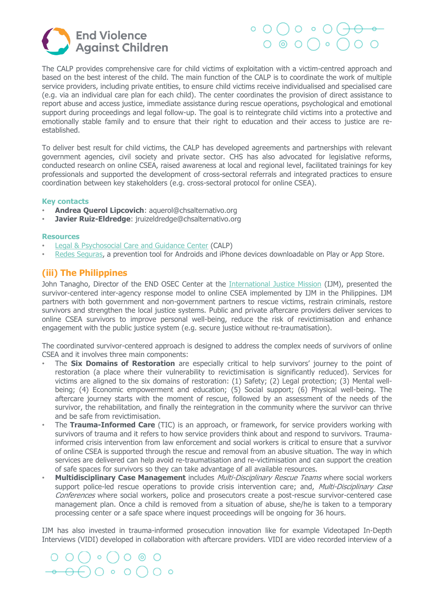

# $\circ$  O  $\cap$  O  $\circ$  O  $\circ$  $O$   $O$   $O$   $O$

The CALP provides comprehensive care for child victims of exploitation with a victim-centred approach and based on the best interest of the child. The main function of the CALP is to coordinate the work of multiple service providers, including private entities, to ensure child victims receive individualised and specialised care (e.g. via an individual care plan for each child). The center coordinates the provision of direct assistance to report abuse and access justice, immediate assistance during rescue operations, psychological and emotional support during proceedings and legal follow-up. The goal is to reintegrate child victims into a protective and emotionally stable family and to ensure that their right to education and their access to justice are reestablished.

To deliver best result for child victims, the CALP has developed agreements and partnerships with relevant government agencies, civil society and private sector. CHS has also advocated for legislative reforms, conducted research on online CSEA, raised awareness at local and regional level, facilitated trainings for key professionals and supported the development of cross-sectoral referrals and integrated practices to ensure coordination between key stakeholders (e.g. cross-sectoral protocol for online CSEA).

### **Key contacts**

- **Andrea Querol Lipcovich**: aquerol@chsalternativo.org
- **Javier Ruiz-Eldredge**: jruizeldredge@chsalternativo.org

#### **Resources**

- [Legal & Psychosocial Care and Guidance Center](http://chsalternativo.org/centro-de-atencion-legal-y-psicosocial-calp/) (CALP)
- [Redes Seguras,](http://chsalternativo.org/recursos/publicaciones/) a prevention tool for Androids and iPhone devices downloadable on Play or App Store.

## **(iii) The Philippines**

John Tanagho, Director of the END OSEC Center at the [International Justice Mission](https://www.ijm.org/) (IJM), presented the survivor-centered inter-agency response model to online CSEA implemented by IJM in the Philippines. IJM partners with both government and non-government partners to rescue victims, restrain criminals, restore survivors and strengthen the local justice systems. Public and private aftercare providers deliver services to online CSEA survivors to improve personal well-being, reduce the risk of revictimisation and enhance engagement with the public justice system (e.g. secure justice without re-traumatisation).

The coordinated survivor-centered approach is designed to address the complex needs of survivors of online CSEA and it involves three main components:

- The **Six Domains of Restoration** are especially critical to help survivors' journey to the point of restoration (a place where their vulnerability to revictimisation is significantly reduced). Services for victims are aligned to the six domains of restoration: (1) Safety; (2) Legal protection; (3) Mental wellbeing; (4) Economic empowerment and education; (5) Social support; (6) Physical well-being. The aftercare journey starts with the moment of rescue, followed by an assessment of the needs of the survivor, the rehabilitation, and finally the reintegration in the community where the survivor can thrive and be safe from revictimisation.
- The **Trauma-Informed Care** (TIC) is an approach, or framework, for service providers working with survivors of trauma and it refers to how service providers think about and respond to survivors. Traumainformed crisis intervention from law enforcement and social workers is critical to ensure that a survivor of online CSEA is supported through the rescue and removal from an abusive situation. The way in which services are delivered can help avoid re-traumatisation and re-victimisation and can support the creation of safe spaces for survivors so they can take advantage of all available resources.
- **Multidisciplinary Case Management** includes Multi-Disciplinary Rescue Teams where social workers support police-led rescue operations to provide crisis intervention care; and, Multi-Disciplinary Case Conferences where social workers, police and prosecutors create a post-rescue survivor-centered case management plan. Once a child is removed from a situation of abuse, she/he is taken to a temporary processing center or a safe space where inquest proceedings will be ongoing for 36 hours.

IJM has also invested in trauma-informed prosecution innovation like for example Videotaped In-Depth Interviews (VIDI) developed in collaboration with aftercare providers. VIDI are video recorded interview of a

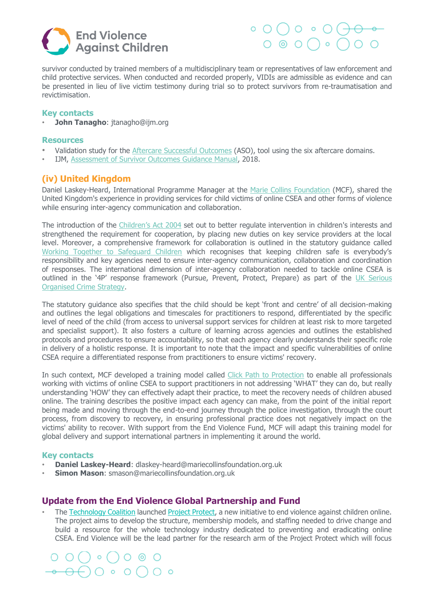



survivor conducted by trained members of a multidisciplinary team or representatives of law enforcement and child protective services. When conducted and recorded properly, VIDIs are admissible as evidence and can be presented in lieu of live victim testimony during trial so to protect survivors from re-traumatisation and revictimisation.

### **Key contacts**

• **John Tanagho**: jtanagho@ijm.org

#### **Resources**

- Validation study for the [Aftercare Successful Outcomes](https://www.ijm.org/documents/studies/ijm_assessment-of-survivor-outcomes_validation-study_single-pages_compressed.pdf) (ASO), tool using the six aftercare domains.
- IJM, [Assessment of Survivor Outcomes Guidance Manual,](https://www.ijm.org/documents/studies/ASO-Guidance-Manual.pdf) 2018.

### **(iv) United Kingdom**

Daniel Laskey-Heard, International Programme Manager at the [Marie Collins Foundation](https://www.mariecollinsfoundation.org.uk/mcf/who-we-are) (MCF), shared the United Kingdom's experience in providing services for child victims of online CSEA and other forms of violence while ensuring inter-agency communication and collaboration.

The introduction of the [Children's Act 2004](http://www.legislation.gov.uk/ukpga/2004/31/contents) set out to better regulate intervention in children's interests and strengthened the requirement for cooperation, by placing new duties on key service providers at the local level. Moreover, a comprehensive framework for collaboration is outlined in the statutory guidance called [Working Together to Safeguard Children](https://www.gov.uk/government/publications/working-together-to-safeguard-children--2) which recognises that keeping children safe is everybody's responsibility and key agencies need to ensure inter-agency communication, collaboration and coordination of responses. The international dimension of inter-agency collaboration needed to tackle online CSEA is outlined in the '4P' response framework (Pursue, Prevent, Protect, Prepare) as part of the [UK Serious](https://www.gov.uk/government/publications/serious-and-organised-crime-strategy-2018)  [Organised Crime Strategy.](https://www.gov.uk/government/publications/serious-and-organised-crime-strategy-2018)

The statutory guidance also specifies that the child should be kept 'front and centre' of all decision-making and outlines the legal obligations and timescales for practitioners to respond, differentiated by the specific level of need of the child (from access to universal support services for children at least risk to more targeted and specialist support). It also fosters a culture of learning across agencies and outlines the established protocols and procedures to ensure accountability, so that each agency clearly understands their specific role in delivery of a holistic response. It is important to note that the impact and specific vulnerabilities of online CSEA require a differentiated response from practitioners to ensure victims' recovery.

In such context, MCF developed a training model called [Click Path to Protection](https://www.mariecollinsfoundation.org.uk/cpp) to enable all professionals working with victims of online CSEA to support practitioners in not addressing 'WHAT' they can do, but really understanding 'HOW' they can effectively adapt their practice, to meet the recovery needs of children abused online. The training describes the positive impact each agency can make, from the point of the initial report being made and moving through the end-to-end journey through the police investigation, through the court process, from discovery to recovery, in ensuring professional practice does not negatively impact on the victims' ability to recover. With support from the End Violence Fund, MCF will adapt this training model for global delivery and support international partners in implementing it around the world.

### **Key contacts**

- **Daniel Laskey-Heard**: dlaskey-heard@mariecollinsfoundation.org.uk
- **Simon Mason**: smason@mariecollinsfoundation.org.uk

### **Update from the End Violence Global Partnership and Fund**

The [Technology Coalition](https://www.technologycoalition.org/) launched [Project Protect,](https://www.end-violence.org/articles/project-protect-new-initiative-end-violence-online) a new initiative to end violence against children online. The project aims to develop the structure, membership models, and staffing needed to drive change and build a resource for the whole technology industry dedicated to preventing and eradicating online CSEA. End Violence will be the lead partner for the research arm of the Project Protect which will focus

 $O() \circ () \circ \circ \circ$  $\Theta\bigcirc\bullet\bullet\bigcirc\bullet\bullet$